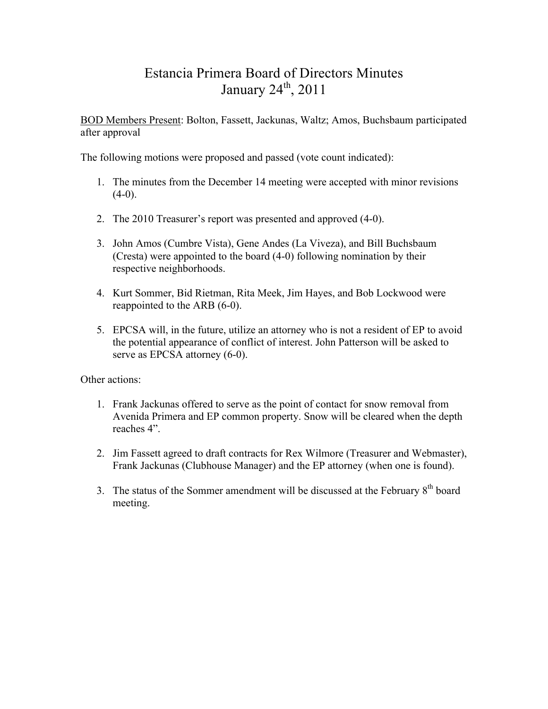# Estancia Primera Board of Directors Minutes January  $24<sup>th</sup>$ ,  $2011$

BOD Members Present: Bolton, Fassett, Jackunas, Waltz; Amos, Buchsbaum participated after approval

The following motions were proposed and passed (vote count indicated):

- 1. The minutes from the December 14 meeting were accepted with minor revisions  $(4-0)$ .
- 2. The 2010 Treasurer's report was presented and approved (4-0).
- 3. John Amos (Cumbre Vista), Gene Andes (La Viveza), and Bill Buchsbaum (Cresta) were appointed to the board (4-0) following nomination by their respective neighborhoods.
- 4. Kurt Sommer, Bid Rietman, Rita Meek, Jim Hayes, and Bob Lockwood were reappointed to the ARB (6-0).
- 5. EPCSA will, in the future, utilize an attorney who is not a resident of EP to avoid the potential appearance of conflict of interest. John Patterson will be asked to serve as EPCSA attorney (6-0).

- 1. Frank Jackunas offered to serve as the point of contact for snow removal from Avenida Primera and EP common property. Snow will be cleared when the depth reaches 4".
- 2. Jim Fassett agreed to draft contracts for Rex Wilmore (Treasurer and Webmaster), Frank Jackunas (Clubhouse Manager) and the EP attorney (when one is found).
- 3. The status of the Sommer amendment will be discussed at the February  $8<sup>th</sup>$  board meeting.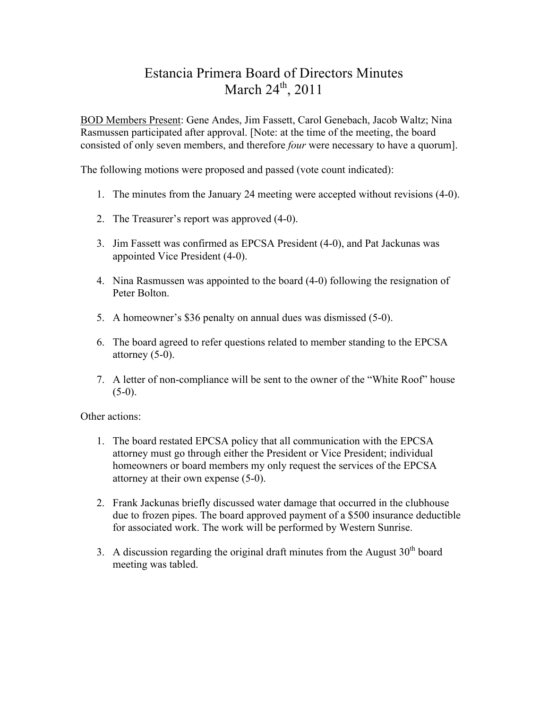# Estancia Primera Board of Directors Minutes March  $24^{th}$ ,  $2011$

BOD Members Present: Gene Andes, Jim Fassett, Carol Genebach, Jacob Waltz; Nina Rasmussen participated after approval. [Note: at the time of the meeting, the board consisted of only seven members, and therefore *four* were necessary to have a quorum].

The following motions were proposed and passed (vote count indicated):

- 1. The minutes from the January 24 meeting were accepted without revisions (4-0).
- 2. The Treasurer's report was approved (4-0).
- 3. Jim Fassett was confirmed as EPCSA President (4-0), and Pat Jackunas was appointed Vice President (4-0).
- 4. Nina Rasmussen was appointed to the board (4-0) following the resignation of Peter Bolton.
- 5. A homeowner's \$36 penalty on annual dues was dismissed (5-0).
- 6. The board agreed to refer questions related to member standing to the EPCSA attorney (5-0).
- 7. A letter of non-compliance will be sent to the owner of the "White Roof" house  $(5-0)$ .

- 1. The board restated EPCSA policy that all communication with the EPCSA attorney must go through either the President or Vice President; individual homeowners or board members my only request the services of the EPCSA attorney at their own expense (5-0).
- 2. Frank Jackunas briefly discussed water damage that occurred in the clubhouse due to frozen pipes. The board approved payment of a \$500 insurance deductible for associated work. The work will be performed by Western Sunrise.
- 3. A discussion regarding the original draft minutes from the August  $30<sup>th</sup>$  board meeting was tabled.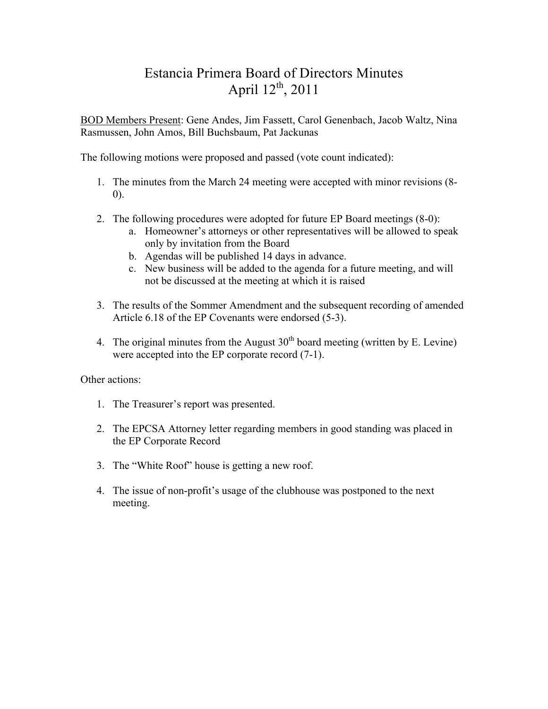# Estancia Primera Board of Directors Minutes April  $12^{th}$ , 2011

BOD Members Present: Gene Andes, Jim Fassett, Carol Genenbach, Jacob Waltz, Nina Rasmussen, John Amos, Bill Buchsbaum, Pat Jackunas

The following motions were proposed and passed (vote count indicated):

- 1. The minutes from the March 24 meeting were accepted with minor revisions (8- 0).
- 2. The following procedures were adopted for future EP Board meetings (8-0):
	- a. Homeowner's attorneys or other representatives will be allowed to speak only by invitation from the Board
	- b. Agendas will be published 14 days in advance.
	- c. New business will be added to the agenda for a future meeting, and will not be discussed at the meeting at which it is raised
- 3. The results of the Sommer Amendment and the subsequent recording of amended Article 6.18 of the EP Covenants were endorsed (5-3).
- 4. The original minutes from the August  $30<sup>th</sup>$  board meeting (written by E. Levine) were accepted into the EP corporate record (7-1).

- 1. The Treasurer's report was presented.
- 2. The EPCSA Attorney letter regarding members in good standing was placed in the EP Corporate Record
- 3. The "White Roof" house is getting a new roof.
- 4. The issue of non-profit's usage of the clubhouse was postponed to the next meeting.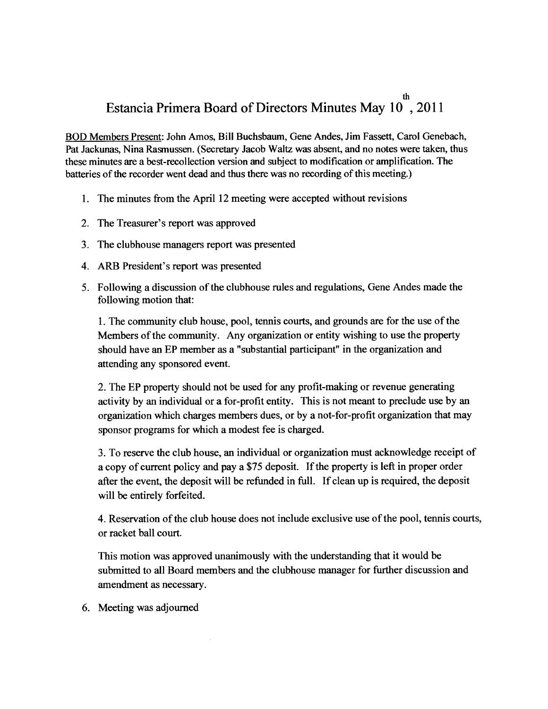# Estancia Primera Board of Directors Minutes May 10, 2011

BOD Members Present: John Amos, Bill Buchsbaum, Gene Andes, Jim Fassett, Carol Genebach, Pat Jackunas, Nina Rasmussen. (Secretary Jacob Waltz was absent, and no notes were taken, thus these minutes are a best-recollection version and subject to modification or amplification. The batteries of the recorder went dead and thus there was no recording of this meeting.)

- 1. The minutes from the April 12 meeting were accepted without revisions
- 2. The Treasurer's report was approved
- 3. The clubhouse managers report was presented
- 4. ARB President's report was presented
- 5. Following a discussion of the clubhouse rules and regulations, Gene Andes made the following motion that:

1. The community club house, pool, tennis courts, and grounds are for the use of the Members of the community. Any organization or entity wishing to use the property should have an EP member as a "substantial participant" in the organization and attending any sponsored event.

2. The EP property should not be used for any profit-making or revenue generating activity by an individual or a for-profit entity. This is not meant to preclude use by an organization which charges members dues, or by a not-for-profit organization that may sponsor programs for which a modest fee is charged.

3. To reserve the club house, an individual or organization must acknowledge receipt of a copy of current policy and pay a \$75 deposit. If the property is left in proper order after the event, the deposit will be refunded in full. If clean up is required, the deposit will be entirely forfeited.

4. Reservation of the club house does not include exclusive use of the pool, tennis courts, or racket ball court.

This motion was approved unanimously with the understanding that it would be submitted to all Board members and the clubhouse manager for further discussion and amendment as necessary.

6. Meeting was adjourned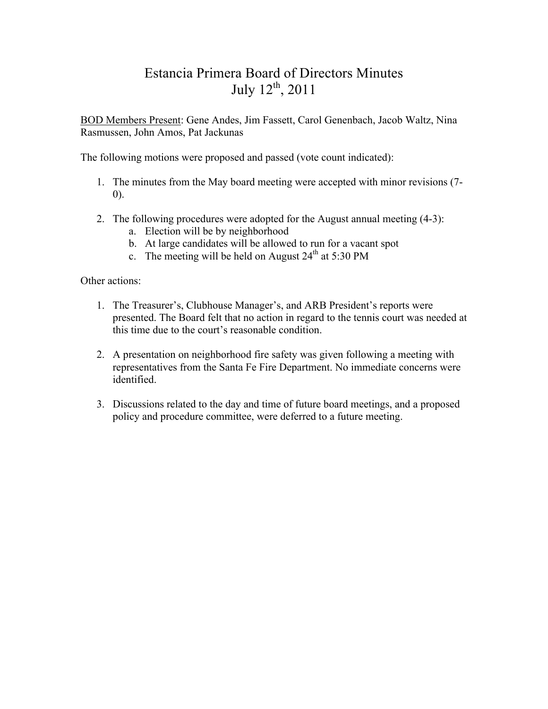# Estancia Primera Board of Directors Minutes July  $12^{th}$ , 2011

BOD Members Present: Gene Andes, Jim Fassett, Carol Genenbach, Jacob Waltz, Nina Rasmussen, John Amos, Pat Jackunas

The following motions were proposed and passed (vote count indicated):

- 1. The minutes from the May board meeting were accepted with minor revisions (7- 0).
- 2. The following procedures were adopted for the August annual meeting (4-3):
	- a. Election will be by neighborhood
	- b. At large candidates will be allowed to run for a vacant spot
	- c. The meeting will be held on August  $24<sup>th</sup>$  at 5:30 PM

- 1. The Treasurer's, Clubhouse Manager's, and ARB President's reports were presented. The Board felt that no action in regard to the tennis court was needed at this time due to the court's reasonable condition.
- 2. A presentation on neighborhood fire safety was given following a meeting with representatives from the Santa Fe Fire Department. No immediate concerns were identified.
- 3. Discussions related to the day and time of future board meetings, and a proposed policy and procedure committee, were deferred to a future meeting.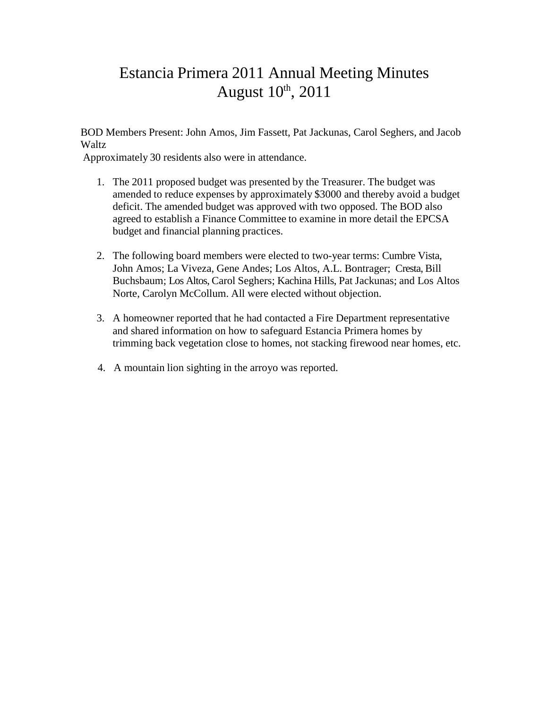# Estancia Primera 2011 Annual Meeting Minutes August  $10<sup>th</sup>$ , 2011

BOD Members Present: John Amos, Jim Fassett, Pat Jackunas, Carol Seghers, and Jacob **Waltz** 

Approximately 30 residents also were in attendance.

- 1. The 2011 proposed budget was presented by the Treasurer. The budget was amended to reduce expenses by approximately \$3000 and thereby avoid a budget deficit. The amended budget was approved with two opposed. The BOD also agreed to establish a Finance Committee to examine in more detail the EPCSA budget and financial planning practices.
- 2. The following board members were elected to two-year terms: Cumbre Vista, John Amos; La Viveza, Gene Andes; Los Altos, A.L. Bontrager; Cresta, Bill Buchsbaum; Los Altos, Carol Seghers; Kachina Hills, Pat Jackunas; and Los Altos Norte, Carolyn McCollum. All were elected without objection.
- 3. A homeowner reported that he had contacted a Fire Department representative and shared information on how to safeguard Estancia Primera homes by trimming back vegetation close to homes, not stacking firewood near homes, etc.
- 4. A mountain lion sighting in the arroyo was reported.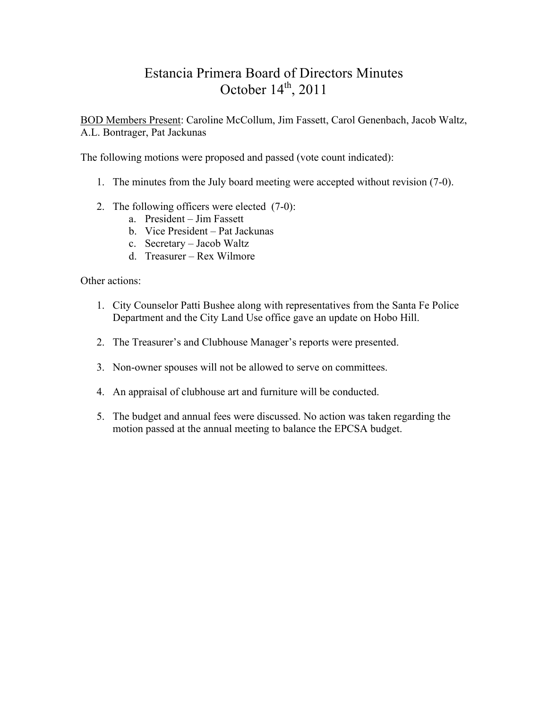# Estancia Primera Board of Directors Minutes October  $14<sup>th</sup>$ , 2011

BOD Members Present: Caroline McCollum, Jim Fassett, Carol Genenbach, Jacob Waltz, A.L. Bontrager, Pat Jackunas

The following motions were proposed and passed (vote count indicated):

- 1. The minutes from the July board meeting were accepted without revision (7-0).
- 2. The following officers were elected (7-0):
	- a. President Jim Fassett
	- b. Vice President Pat Jackunas
	- c. Secretary Jacob Waltz
	- d. Treasurer Rex Wilmore

- 1. City Counselor Patti Bushee along with representatives from the Santa Fe Police Department and the City Land Use office gave an update on Hobo Hill.
- 2. The Treasurer's and Clubhouse Manager's reports were presented.
- 3. Non-owner spouses will not be allowed to serve on committees.
- 4. An appraisal of clubhouse art and furniture will be conducted.
- 5. The budget and annual fees were discussed. No action was taken regarding the motion passed at the annual meeting to balance the EPCSA budget.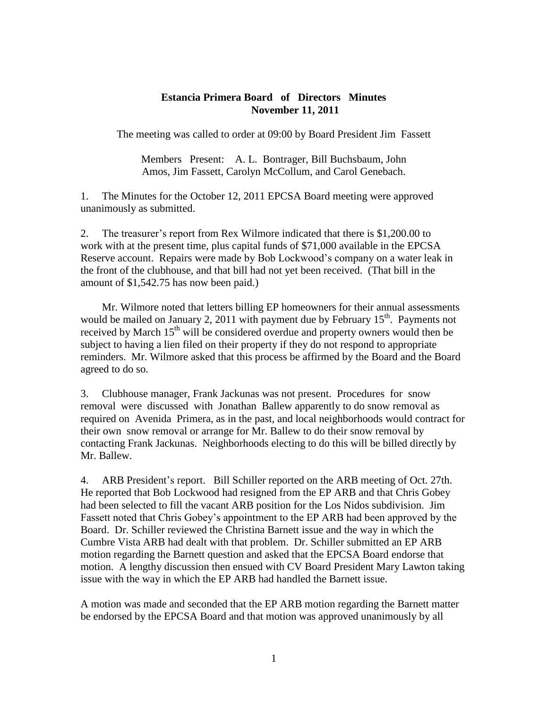#### **Estancia Primera Board of Directors Minutes November 11, 2011**

The meeting was called to order at 09:00 by Board President Jim Fassett

Members Present: A. L. Bontrager, Bill Buchsbaum, John Amos, Jim Fassett, Carolyn McCollum, and Carol Genebach.

1. The Minutes for the October 12, 2011 EPCSA Board meeting were approved unanimously as submitted.

2. The treasurer's report from Rex Wilmore indicated that there is \$1,200.00 to work with at the present time, plus capital funds of \$71,000 available in the EPCSA Reserve account. Repairs were made by Bob Lockwood's company on a water leak in the front of the clubhouse, and that bill had not yet been received. (That bill in the amount of \$1,542.75 has now been paid.)

 Mr. Wilmore noted that letters billing EP homeowners for their annual assessments would be mailed on January 2, 2011 with payment due by February  $15<sup>th</sup>$ . Payments not received by March 15<sup>th</sup> will be considered overdue and property owners would then be subject to having a lien filed on their property if they do not respond to appropriate reminders. Mr. Wilmore asked that this process be affirmed by the Board and the Board agreed to do so.

3. Clubhouse manager, Frank Jackunas was not present. Procedures for snow removal were discussed with Jonathan Ballew apparently to do snow removal as required on Avenida Primera, as in the past, and local neighborhoods would contract for their own snow removal or arrange for Mr. Ballew to do their snow removal by contacting Frank Jackunas. Neighborhoods electing to do this will be billed directly by Mr. Ballew.

4. ARB President's report. Bill Schiller reported on the ARB meeting of Oct. 27th. He reported that Bob Lockwood had resigned from the EP ARB and that Chris Gobey had been selected to fill the vacant ARB position for the Los Nidos subdivision. Jim Fassett noted that Chris Gobey's appointment to the EP ARB had been approved by the Board. Dr. Schiller reviewed the Christina Barnett issue and the way in which the Cumbre Vista ARB had dealt with that problem. Dr. Schiller submitted an EP ARB motion regarding the Barnett question and asked that the EPCSA Board endorse that motion. A lengthy discussion then ensued with CV Board President Mary Lawton taking issue with the way in which the EP ARB had handled the Barnett issue.

A motion was made and seconded that the EP ARB motion regarding the Barnett matter be endorsed by the EPCSA Board and that motion was approved unanimously by all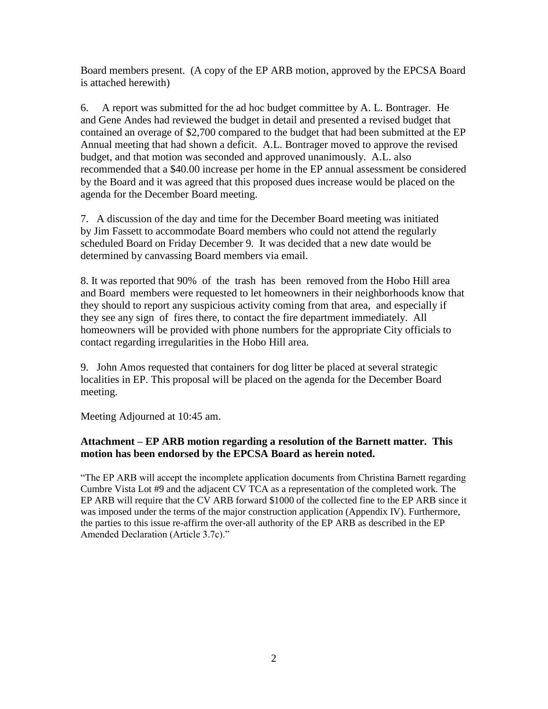Board members present. (A copy of the EP ARB motion, approved by the EPCSA Board is attached herewith)

6. A report was submitted for the ad hoc budget committee by A. L. Bontrager. He and Gene Andes had reviewed the budget in detail and presented a revised budget that contained an overage of \$2,700 compared to the budget that had been submitted at the EP Annual meeting that had shown a deficit. A.L. Bontrager moved to approve the revised budget, and that motion was seconded and approved unanimously. A.L. also recommended that a \$40.00 increase per home in the EP annual assessment be considered by the Board and it was agreed that this proposed dues increase would be placed on the agenda for the December Board meeting.

7. A discussion of the day and time for the December Board meeting was initiated by Jim Fassett to accommodate Board members who could not attend the regularly scheduled Board on Friday December 9. It was decided that a new date would be determined by canvassing Board members via email.

8. It was reported that 90% of the trash has been removed from the Hobo Hill area and Board members were requested to let homeowners in their neighborhoods know that they should to report any suspicious activity coming from that area, and especially if they see any sign of fires there, to contact the fire department immediately. All homeowners will be provided with phone numbers for the appropriate City officials to contact regarding irregularities in the Hobo Hill area.

9. John Amos requested that containers for dog litter be placed at several strategic localities in EP. This proposal will be placed on the agenda for the December Board meeting.

Meeting Adjourned at 10:45 am.

### **Attachment – EP ARB motion regarding a resolution of the Barnett matter. This motion has been endorsed by the EPCSA Board as herein noted.**

"The EP ARB will accept the incomplete application documents from Christina Barnett regarding Cumbre Vista Lot #9 and the adjacent CV TCA as a representation of the completed work. The EP ARB will require that the CV ARB forward \$1000 of the collected fine to the EP ARB since it was imposed under the terms of the major construction application (Appendix IV). Furthermore, the parties to this issue re-affirm the over-all authority of the EP ARB as described in the EP Amended Declaration (Article 3.7c)."